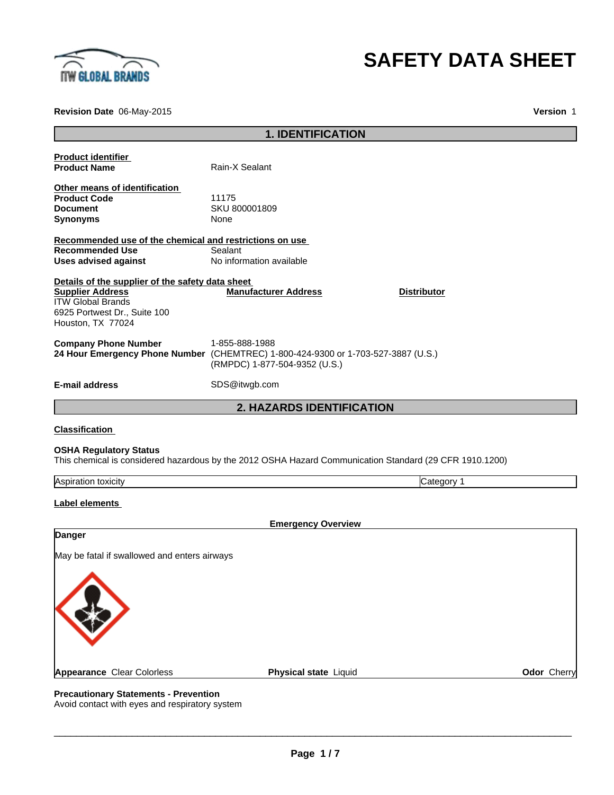

# **SAFETY DATA SHEET**

**Revision Date** 06-May-2015

**Version** 1

|                                                                                                                                                              | <b>1. IDENTIFICATION</b>                        |                                                                                                         |             |
|--------------------------------------------------------------------------------------------------------------------------------------------------------------|-------------------------------------------------|---------------------------------------------------------------------------------------------------------|-------------|
| <b>Product identifier</b><br><b>Product Name</b>                                                                                                             | Rain-X Sealant                                  |                                                                                                         |             |
| Other means of identification<br><b>Product Code</b><br><b>Document</b><br><b>Synonyms</b>                                                                   | 11175<br>SKU 800001809<br>None                  |                                                                                                         |             |
| Recommended use of the chemical and restrictions on use<br><b>Recommended Use</b><br><b>Uses advised against</b>                                             | Sealant<br>No information available             |                                                                                                         |             |
| Details of the supplier of the safety data sheet<br><b>Supplier Address</b><br><b>ITW Global Brands</b><br>6925 Portwest Dr., Suite 100<br>Houston, TX 77024 | <b>Manufacturer Address</b>                     | <b>Distributor</b>                                                                                      |             |
| <b>Company Phone Number</b><br>24 Hour Emergency Phone Number (CHEMTREC) 1-800-424-9300 or 1-703-527-3887 (U.S.)                                             | 1-855-888-1988<br>(RMPDC) 1-877-504-9352 (U.S.) |                                                                                                         |             |
| <b>E-mail address</b>                                                                                                                                        | SDS@itwgb.com                                   |                                                                                                         |             |
|                                                                                                                                                              | <b>2. HAZARDS IDENTIFICATION</b>                |                                                                                                         |             |
| <b>Classification</b>                                                                                                                                        |                                                 |                                                                                                         |             |
| <b>OSHA Regulatory Status</b>                                                                                                                                |                                                 | This chemical is considered hazardous by the 2012 OSHA Hazard Communication Standard (29 CFR 1910.1200) |             |
| Aspiration toxicity                                                                                                                                          |                                                 | Category 1                                                                                              |             |
| Label elements                                                                                                                                               |                                                 |                                                                                                         |             |
| Danger                                                                                                                                                       | <b>Emergency Overview</b>                       |                                                                                                         |             |
| May be fatal if swallowed and enters airways<br>**                                                                                                           |                                                 |                                                                                                         |             |
| <b>Appearance Clear Colorless</b><br><b>Precautionary Statements - Prevention</b>                                                                            | Physical state Liquid                           |                                                                                                         | Odor Cherry |

Avoid contact with eyes and respiratory system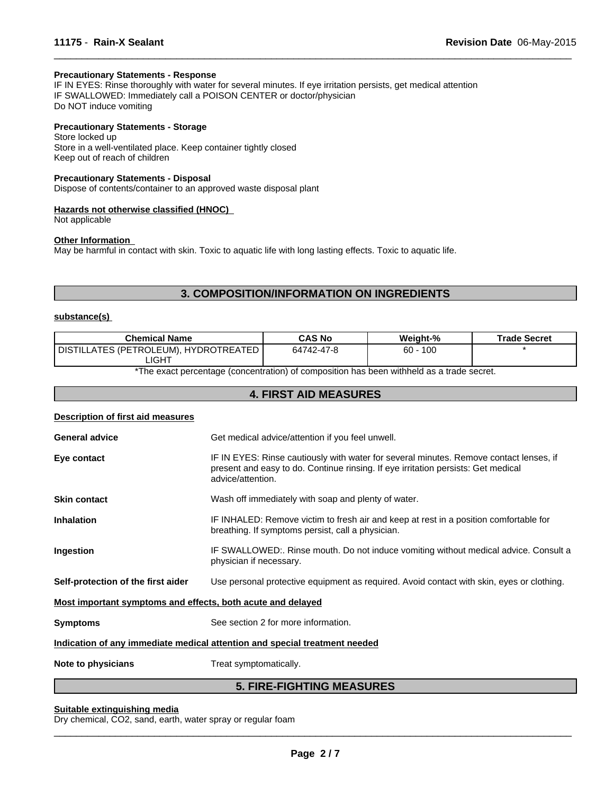# **Precautionary Statements - Response**

IF IN EYES: Rinse thoroughly with water for several minutes. If eye irritation persists, get medical attention IF SWALLOWED: Immediately call a POISON CENTER or doctor/physician Do NOT induce vomiting

#### **Precautionary Statements - Storage**

Store locked up Store in a well-ventilated place. Keep container tightly closed Keep out of reach of children

#### **Precautionary Statements - Disposal**

Dispose of contents/container to an approved waste disposal plant

#### **Hazards not otherwise classified (HNOC)**

Not applicable

# **Other Information**

May be harmful in contact with skin. Toxic to aquatic life with long lasting effects. Toxic to aquatic life.

# **3. COMPOSITION/INFORMATION ON INGREDIENTS**

 $\overline{\phantom{a}}$  ,  $\overline{\phantom{a}}$  ,  $\overline{\phantom{a}}$  ,  $\overline{\phantom{a}}$  ,  $\overline{\phantom{a}}$  ,  $\overline{\phantom{a}}$  ,  $\overline{\phantom{a}}$  ,  $\overline{\phantom{a}}$  ,  $\overline{\phantom{a}}$  ,  $\overline{\phantom{a}}$  ,  $\overline{\phantom{a}}$  ,  $\overline{\phantom{a}}$  ,  $\overline{\phantom{a}}$  ,  $\overline{\phantom{a}}$  ,  $\overline{\phantom{a}}$  ,  $\overline{\phantom{a}}$ 

# **substance(s)**

| <b>Chemical Name</b>                  | <b>CAS No</b> | Weight-%    | <b>Trade Secret</b> |
|---------------------------------------|---------------|-------------|---------------------|
| DISTILLATES (PETROLEUM), HYDROTREATED | 64742-47-8    | 100<br>60 - |                     |
| .IGHT                                 |               |             |                     |

\*The exact percentage (concentration) of composition has been withheld as a trade secret.

# **4. FIRST AID MEASURES**

## **Description of first aid measures**

|                                                             | FIBE FIAUTINA MEAQUBEA                                                                                                                                                                           |  |
|-------------------------------------------------------------|--------------------------------------------------------------------------------------------------------------------------------------------------------------------------------------------------|--|
| Note to physicians                                          | Treat symptomatically.                                                                                                                                                                           |  |
|                                                             | Indication of any immediate medical attention and special treatment needed                                                                                                                       |  |
| <b>Symptoms</b>                                             | See section 2 for more information.                                                                                                                                                              |  |
| Most important symptoms and effects, both acute and delayed |                                                                                                                                                                                                  |  |
| Self-protection of the first aider                          | Use personal protective equipment as required. Avoid contact with skin, eyes or clothing.                                                                                                        |  |
| Ingestion                                                   | IF SWALLOWED:. Rinse mouth. Do not induce vomiting without medical advice. Consult a<br>physician if necessary.                                                                                  |  |
| <b>Inhalation</b>                                           | IF INHALED: Remove victim to fresh air and keep at rest in a position comfortable for<br>breathing. If symptoms persist, call a physician.                                                       |  |
| <b>Skin contact</b>                                         | Wash off immediately with soap and plenty of water.                                                                                                                                              |  |
| Eye contact                                                 | IF IN EYES: Rinse cautiously with water for several minutes. Remove contact lenses, if<br>present and easy to do. Continue rinsing. If eye irritation persists: Get medical<br>advice/attention. |  |
| <b>General advice</b>                                       | Get medical advice/attention if you feel unwell.                                                                                                                                                 |  |
|                                                             |                                                                                                                                                                                                  |  |

# **5. FIRE-FIGHTING MEASURES**

#### **Suitable extinguishing media**

Dry chemical, CO2, sand, earth, water spray or regular foam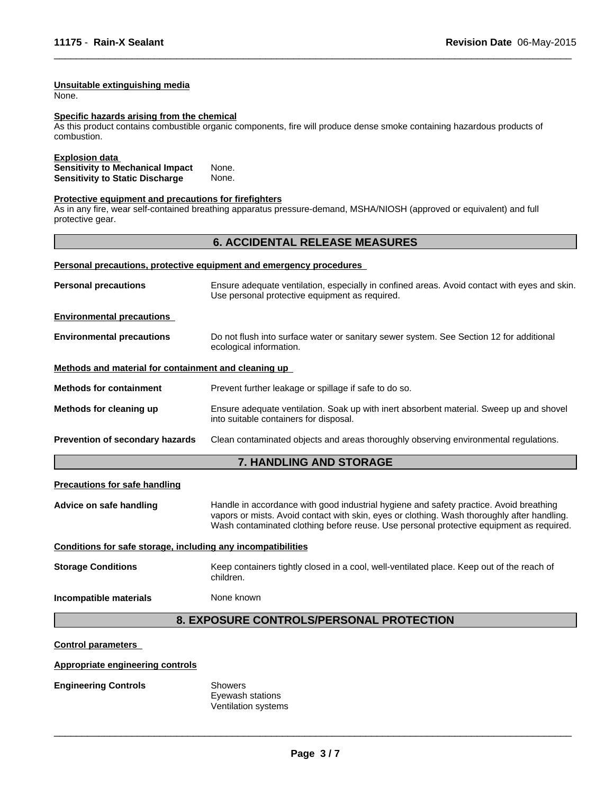# **Unsuitable extinguishing media**

None.

#### **Specific hazards arising from the chemical**

As this product contains combustible organic components, fire will produce dense smoke containing hazardous products of combustion.

 $\overline{\phantom{a}}$  ,  $\overline{\phantom{a}}$  ,  $\overline{\phantom{a}}$  ,  $\overline{\phantom{a}}$  ,  $\overline{\phantom{a}}$  ,  $\overline{\phantom{a}}$  ,  $\overline{\phantom{a}}$  ,  $\overline{\phantom{a}}$  ,  $\overline{\phantom{a}}$  ,  $\overline{\phantom{a}}$  ,  $\overline{\phantom{a}}$  ,  $\overline{\phantom{a}}$  ,  $\overline{\phantom{a}}$  ,  $\overline{\phantom{a}}$  ,  $\overline{\phantom{a}}$  ,  $\overline{\phantom{a}}$ 

#### **Explosion data**

| <b>Sensitivity to Mechanical Impact</b> | None. |
|-----------------------------------------|-------|
| <b>Sensitivity to Static Discharge</b>  | None. |

### **Protective equipment and precautions for firefighters**

As in any fire, wear self-contained breathing apparatus pressure-demand, MSHA/NIOSH (approved or equivalent) and full protective gear.

# **6. ACCIDENTAL RELEASE MEASURES**

|                                                      | Personal precautions, protective equipment and emergency procedures                                                                            |
|------------------------------------------------------|------------------------------------------------------------------------------------------------------------------------------------------------|
| <b>Personal precautions</b>                          | Ensure adequate ventilation, especially in confined areas. Avoid contact with eyes and skin.<br>Use personal protective equipment as required. |
| <b>Environmental precautions</b>                     |                                                                                                                                                |
| <b>Environmental precautions</b>                     | Do not flush into surface water or sanitary sewer system. See Section 12 for additional<br>ecological information.                             |
| Methods and material for containment and cleaning up |                                                                                                                                                |
| <b>Methods for containment</b>                       | Prevent further leakage or spillage if safe to do so.                                                                                          |
| Methods for cleaning up                              | Ensure adequate ventilation. Soak up with inert absorbent material. Sweep up and shovel<br>into suitable containers for disposal.              |
| Prevention of secondary hazards                      | Clean contaminated objects and areas thoroughly observing environmental regulations.                                                           |
|                                                      | 7 IIIININIA ILIR ATARIAF                                                                                                                       |

## **7. HANDLING AND STORAGE**

#### **Precautions for safe handling**

**Advice on safe handling** Handle in accordance with good industrial hygiene and safety practice. Avoid breathing vapors or mists. Avoid contact with skin, eyes or clothing. Wash thoroughly after handling. Wash contaminated clothing before reuse. Use personal protective equipment as required.

# **Conditions for safe storage, including any incompatibilities**

**Storage Conditions** Keep containers tightly closed in a cool, well-ventilated place. Keep out of the reach of children.

#### **Incompatible materials** None known

# **8. EXPOSURE CONTROLS/PERSONAL PROTECTION**

## **Control parameters**

## **Appropriate engineering controls**

#### **Engineering Controls** Showers

Eyewash stations Ventilation systems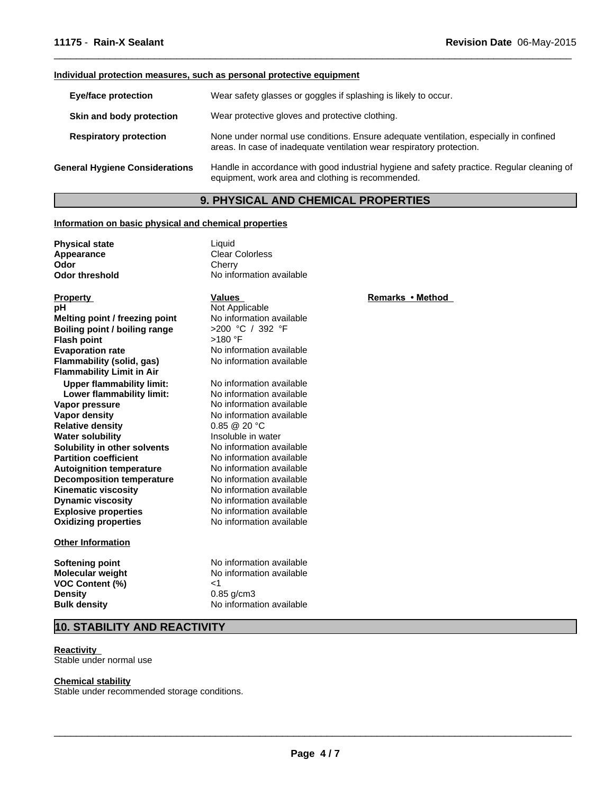# **Individual protection measures, such as personal protective equipment**

| <b>Eye/face protection</b>            | Wear safety glasses or goggles if splashing is likely to occur.                                                                                                |  |
|---------------------------------------|----------------------------------------------------------------------------------------------------------------------------------------------------------------|--|
| Skin and body protection              | Wear protective gloves and protective clothing.                                                                                                                |  |
| <b>Respiratory protection</b>         | None under normal use conditions. Ensure adequate ventilation, especially in confined<br>areas. In case of inadequate ventilation wear respiratory protection. |  |
| <b>General Hygiene Considerations</b> | Handle in accordance with good industrial hygiene and safety practice. Regular cleaning of<br>equipment, work area and clothing is recommended.                |  |

 $\overline{\phantom{a}}$  ,  $\overline{\phantom{a}}$  ,  $\overline{\phantom{a}}$  ,  $\overline{\phantom{a}}$  ,  $\overline{\phantom{a}}$  ,  $\overline{\phantom{a}}$  ,  $\overline{\phantom{a}}$  ,  $\overline{\phantom{a}}$  ,  $\overline{\phantom{a}}$  ,  $\overline{\phantom{a}}$  ,  $\overline{\phantom{a}}$  ,  $\overline{\phantom{a}}$  ,  $\overline{\phantom{a}}$  ,  $\overline{\phantom{a}}$  ,  $\overline{\phantom{a}}$  ,  $\overline{\phantom{a}}$ 

# **9. PHYSICAL AND CHEMICAL PROPERTIES**

## **Information on basic physical and chemical properties**

| <b>Physical state</b><br>Appearance | Liquid<br><b>Clear Colorless</b> |                  |
|-------------------------------------|----------------------------------|------------------|
| Odor                                | Cherry                           |                  |
| <b>Odor threshold</b>               | No information available         |                  |
| <b>Property</b>                     | Values                           | <b>Remarks</b> • |
| рH                                  | Not Applicable                   |                  |
| Melting point / freezing point      | No information available         |                  |
| Boiling point / boiling range       | >200 °C / 392 °F                 |                  |
| <b>Flash point</b>                  | $>180$ °F                        |                  |
| <b>Evaporation rate</b>             | No information available         |                  |
| <b>Flammability (solid, gas)</b>    | No information available         |                  |
| <b>Flammability Limit in Air</b>    |                                  |                  |
| <b>Upper flammability limit:</b>    | No information available         |                  |
| Lower flammability limit:           | No information available         |                  |
| Vapor pressure                      | No information available         |                  |
| <b>Vapor density</b>                | No information available         |                  |
| <b>Relative density</b>             | $0.85 \ @ \ 20 \degree C$        |                  |
| <b>Water solubility</b>             | Insoluble in water               |                  |
| Solubility in other solvents        | No information available         |                  |
| <b>Partition coefficient</b>        | No information available         |                  |
| <b>Autoignition temperature</b>     | No information available         |                  |
| <b>Decomposition temperature</b>    | No information available         |                  |
| Kinematic viscosity                 | No information available         |                  |
| <b>Dynamic viscosity</b>            | No information available         |                  |
| <b>Explosive properties</b>         | No information available         |                  |
| <b>Oxidizing properties</b>         | No information available         |                  |
| <b>Other Information</b>            |                                  |                  |

**VOC Content (%)** <1 **Density** 0.85 g/cm3

**Softening point No information available**<br> **Molecular weight No information available No information available Bulk density** No information available

# **10. STABILITY AND REACTIVITY**

#### **Reactivity**  Stable under normal use

# **Chemical stability**

Stable under recommended storage conditions.

 $\overline{\phantom{a}}$  ,  $\overline{\phantom{a}}$  ,  $\overline{\phantom{a}}$  ,  $\overline{\phantom{a}}$  ,  $\overline{\phantom{a}}$  ,  $\overline{\phantom{a}}$  ,  $\overline{\phantom{a}}$  ,  $\overline{\phantom{a}}$  ,  $\overline{\phantom{a}}$  ,  $\overline{\phantom{a}}$  ,  $\overline{\phantom{a}}$  ,  $\overline{\phantom{a}}$  ,  $\overline{\phantom{a}}$  ,  $\overline{\phantom{a}}$  ,  $\overline{\phantom{a}}$  ,  $\overline{\phantom{a}}$ 

# **Remarks•Method**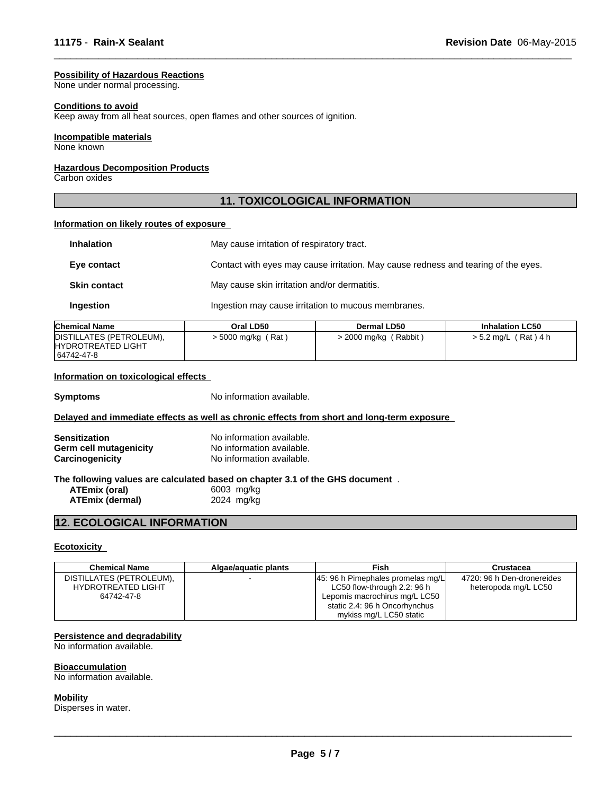#### **Possibility of Hazardous Reactions**

None under normal processing.

#### **Conditions to avoid**

Keep away from all heat sources, open flames and other sources of ignition.

#### **Incompatible materials**

None known

# **Hazardous Decomposition Products**

Carbon oxides

# **11. TOXICOLOGICAL INFORMATION**

 $\overline{\phantom{a}}$  ,  $\overline{\phantom{a}}$  ,  $\overline{\phantom{a}}$  ,  $\overline{\phantom{a}}$  ,  $\overline{\phantom{a}}$  ,  $\overline{\phantom{a}}$  ,  $\overline{\phantom{a}}$  ,  $\overline{\phantom{a}}$  ,  $\overline{\phantom{a}}$  ,  $\overline{\phantom{a}}$  ,  $\overline{\phantom{a}}$  ,  $\overline{\phantom{a}}$  ,  $\overline{\phantom{a}}$  ,  $\overline{\phantom{a}}$  ,  $\overline{\phantom{a}}$  ,  $\overline{\phantom{a}}$ 

# **Information on likely routes of exposure**

| <b>Inhalation</b>                                                   | May cause irritation of respiratory tract.                                         |  |
|---------------------------------------------------------------------|------------------------------------------------------------------------------------|--|
| Eye contact                                                         | Contact with eyes may cause irritation. May cause redness and tearing of the eyes. |  |
| May cause skin irritation and/or dermatitis.<br><b>Skin contact</b> |                                                                                    |  |
| Ingestion                                                           | Ingestion may cause irritation to mucous membranes.                                |  |

| <b>Chemical Name</b>                                                 | Oral LD50          | <b>Dermal LD50</b>  | <b>Inhalation LC50</b> |
|----------------------------------------------------------------------|--------------------|---------------------|------------------------|
| DISTILLATES (PETROLEUM),<br><b>IHYDROTREATED LIGHT</b><br>64742-47-8 | > 5000 mg/kg (Rat) | 2000 mg/kg (Rabbit) | $> 5.2$ mg/L (Rat) 4 h |

## **Information on toxicological effects**

**Symptoms** No information available.

#### **Delayed and immediate effects as well as chronic effects from short and long-term exposure**

| <b>Sensitization</b>   | No information available.                                              |  |
|------------------------|------------------------------------------------------------------------|--|
| Germ cell mutagenicity | No information available.                                              |  |
| Carcinogenicity        | No information available.                                              |  |
|                        | The fellowing values are solouisted besed on shopter 2.4 of the CUC de |  |

#### **The following values are calculated based on chapter 3.1 of the GHS document** . **ATEmix (oral)** 6003 mg/kg

**ATEmix (dermal)** 2024 mg/kg

# **12. ECOLOGICAL INFORMATION**

# **Ecotoxicity**

| <b>Chemical Name</b>      | Algae/aguatic plants | Fish                                | Crustacea                  |
|---------------------------|----------------------|-------------------------------------|----------------------------|
| DISTILLATES (PETROLEUM),  |                      | [45: 96 h Pimephales promelas mg/L] | 4720: 96 h Den-dronereides |
| <b>HYDROTREATED LIGHT</b> |                      | LC50 flow-through 2.2: 96 h         | heteropoda mg/L LC50       |
| 64742-47-8                |                      | Lepomis macrochirus mg/L LC50       |                            |
|                           |                      | static 2.4: 96 h Oncorhynchus       |                            |
|                           |                      | mykiss mg/L LC50 static             |                            |

#### **Persistence and degradability**

No information available.

# **Bioaccumulation**

No information available.

#### **Mobility**

Disperses in water.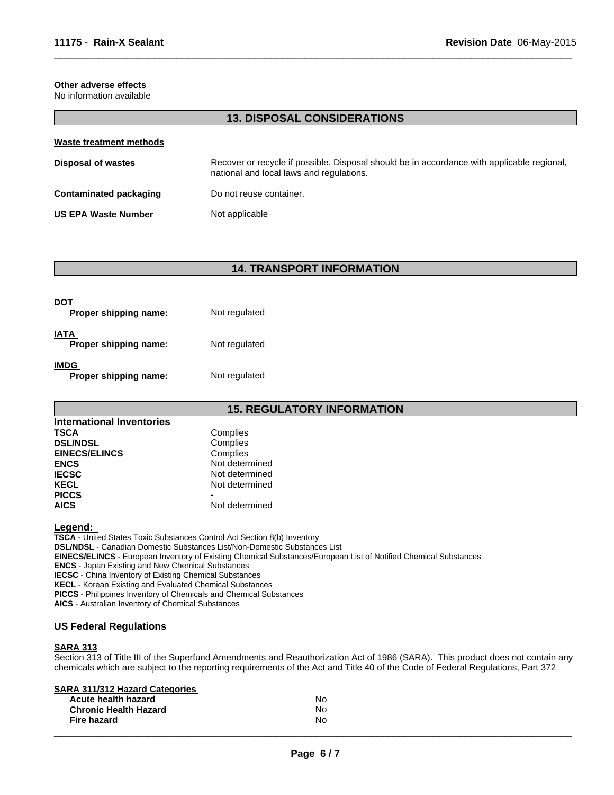# **Other adverse effects**

No information available

# **13. DISPOSAL CONSIDERATIONS**

 $\overline{\phantom{a}}$  ,  $\overline{\phantom{a}}$  ,  $\overline{\phantom{a}}$  ,  $\overline{\phantom{a}}$  ,  $\overline{\phantom{a}}$  ,  $\overline{\phantom{a}}$  ,  $\overline{\phantom{a}}$  ,  $\overline{\phantom{a}}$  ,  $\overline{\phantom{a}}$  ,  $\overline{\phantom{a}}$  ,  $\overline{\phantom{a}}$  ,  $\overline{\phantom{a}}$  ,  $\overline{\phantom{a}}$  ,  $\overline{\phantom{a}}$  ,  $\overline{\phantom{a}}$  ,  $\overline{\phantom{a}}$ 

| Waste treatment methods    |                                                                                                                                        |  |
|----------------------------|----------------------------------------------------------------------------------------------------------------------------------------|--|
| Disposal of wastes         | Recover or recycle if possible. Disposal should be in accordance with applicable regional,<br>national and local laws and regulations. |  |
| Contaminated packaging     | Do not reuse container.                                                                                                                |  |
| <b>US EPA Waste Number</b> | Not applicable                                                                                                                         |  |

# **14. TRANSPORT INFORMATION**

| DOT<br>Proper shipping name:  | Not regulated |
|-------------------------------|---------------|
| IATA<br>Proper shipping name: | Not regulated |
| IMDG<br>Proper shipping name: | Not regulated |

# **15. REGULATORY INFORMATION**

| International Inventories |                |
|---------------------------|----------------|
| <b>TSCA</b>               | Complies       |
| <b>DSL/NDSL</b>           | Complies       |
| <b>EINECS/ELINCS</b>      | Complies       |
| <b>ENCS</b>               | Not determined |
| <b>IECSC</b>              | Not determined |
| <b>KECL</b>               | Not determined |
| <b>PICCS</b>              |                |
| <b>AICS</b>               | Not determined |

#### **Legend:**

**TSCA** - United States Toxic Substances Control Act Section 8(b) Inventory **DSL/NDSL** - Canadian Domestic Substances List/Non-Domestic Substances List **EINECS/ELINCS** - European Inventory of Existing Chemical Substances/European List of Notified Chemical Substances **ENCS** - Japan Existing and New Chemical Substances **IECSC** - China Inventory of Existing Chemical Substances **KECL** - Korean Existing and Evaluated Chemical Substances **PICCS** - Philippines Inventory of Chemicals and Chemical Substances **AICS** - Australian Inventory of Chemical Substances

# **US Federal Regulations**

## **SARA 313**

Section 313 of Title III of the Superfund Amendments and Reauthorization Act of 1986 (SARA). This product does not contain any chemicals which are subject to the reporting requirements of the Act and Title 40 of the Code of Federal Regulations, Part 372

# **SARA 311/312 Hazard Categories**

| __<br>Acute health hazard<br><b>Chronic Health Hazard</b> | No<br>No. |
|-----------------------------------------------------------|-----------|
| <b>Fire hazard</b>                                        | N0        |
|                                                           |           |